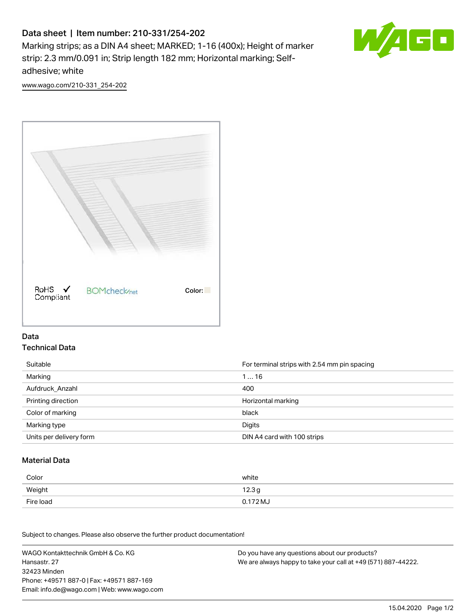# Data sheet | Item number: 210-331/254-202

Marking strips; as a DIN A4 sheet; MARKED; 1-16 (400x); Height of marker strip: 2.3 mm/0.091 in; Strip length 182 mm; Horizontal marking; Selfadhesive; white



[www.wago.com/210-331\\_254-202](http://www.wago.com/210-331_254-202)



### Data Technical Data

| Suitable                | For terminal strips with 2.54 mm pin spacing |
|-------------------------|----------------------------------------------|
| Marking                 | 116                                          |
| Aufdruck Anzahl         | 400                                          |
| Printing direction      | Horizontal marking                           |
| Color of marking        | black                                        |
| Marking type            | Digits                                       |
| Units per delivery form | DIN A4 card with 100 strips                  |

#### Material Data

| Color     | white             |
|-----------|-------------------|
| Weight    | 12.3 <sub>g</sub> |
| Fire load | 0.172 MJ          |

Subject to changes. Please also observe the further product documentation!

WAGO Kontakttechnik GmbH & Co. KG Hansastr. 27 32423 Minden Phone: +49571 887-0 | Fax: +49571 887-169 Email: info.de@wago.com | Web: www.wago.com Do you have any questions about our products? We are always happy to take your call at +49 (571) 887-44222.